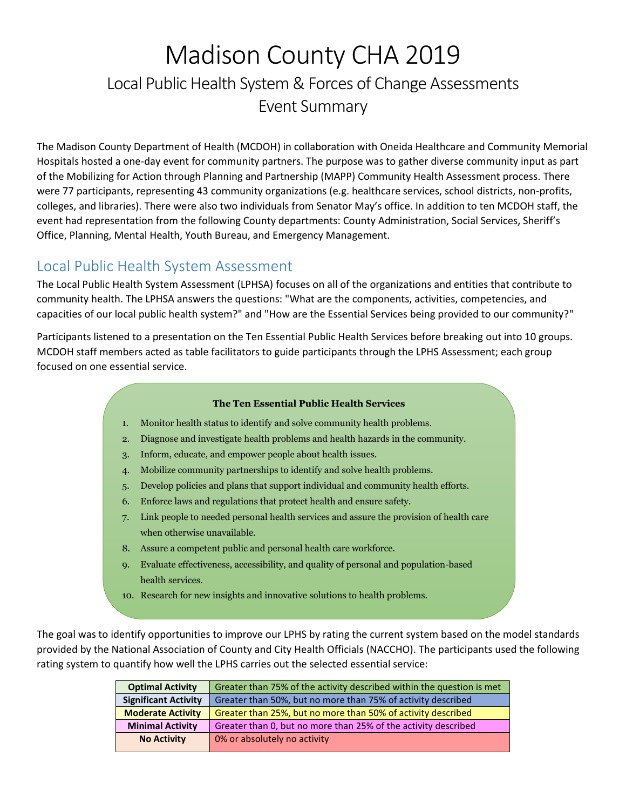# Madison County CHA 2019 Local Public Health System & Forces of Change Assessments Event Summary

The Madison County Department of Health (MCDOH) in collaboration with Oneida Healthcare and Community Memorial Hospitals hosted a one-day event for community partners. The purpose was to gather diverse community input as part of the Mobilizing for Action through Planning and Partnership (MAPP) Community Health Assessment process. There were 77 participants, representing 43 community organizations (e.g. healthcare services, school districts, non-profits, colleges, and libraries). There were also two individuals from Senator May's office. In addition to ten MCDOH staff, the event had representation from the following County departments: County Administration, Social Services, Sheriff's Office, Planning, Mental Health, Youth Bureau, and Emergency Management.

# Local Public Health System Assessment

The Local Public Health System Assessment (LPHSA) focuses on all of the organizations and entities that contribute to community health. The LPHSA answers the questions: "What are the components, activities, competencies, and capacities of our local public health system?" and "How are the Essential Services being provided to our community?"

Participants listened to a presentation on the Ten Essential Public Health Services before breaking out into 10 groups. MCDOH staff members acted as table facilitators to guide participants through the LPHS Assessment; each group focused on one essential service.

#### **The Ten Essential Public Health Services**

- 1. Monitor health status to identify and solve community health problems.
- 2. Diagnose and investigate health problems and health hazards in the community.
- 3. Inform, educate, and empower people about health issues.
- 4. Mobilize community partnerships to identify and solve health problems.
- 5. Develop policies and plans that support individual and community health efforts.
- 6. Enforce laws and regulations that protect health and ensure safety.
- 7. Link people to needed personal health services and assure the provision of health care when otherwise unavailable.
- 8. Assure a competent public and personal health care workforce.
- 9. Evaluate effectiveness, accessibility, and quality of personal and population-based health services.
- 10. Research for new insights and innovative solutions to health problems.

The goal was to identify opportunities to improve our LPHS by rating the current system based on the model standards provided by the National Association of County and City Health Officials (NACCHO). The participants used the following rating system to quantify how well the LPHS carries out the selected essential service:

| <b>Optimal Activity</b>     | Greater than 75% of the activity described within the question is met |  |
|-----------------------------|-----------------------------------------------------------------------|--|
| <b>Significant Activity</b> | Greater than 50%, but no more than 75% of activity described          |  |
| <b>Moderate Activity</b>    | Greater than 25%, but no more than 50% of activity described          |  |
| <b>Minimal Activity</b>     | Greater than 0, but no more than 25% of the activity described        |  |
| <b>No Activity</b>          | 0% or absolutely no activity                                          |  |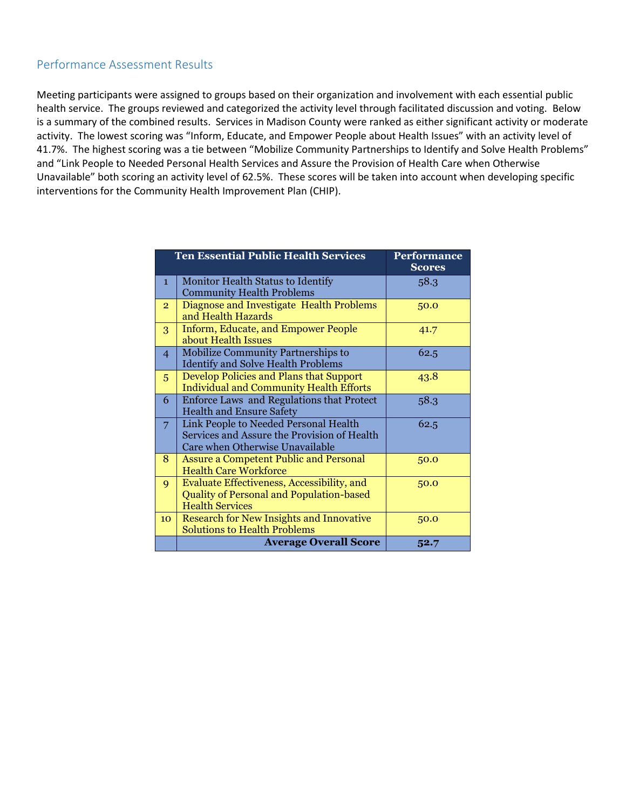#### Performance Assessment Results

Meeting participants were assigned to groups based on their organization and involvement with each essential public health service. The groups reviewed and categorized the activity level through facilitated discussion and voting. Below is a summary of the combined results. Services in Madison County were ranked as either significant activity or moderate activity. The lowest scoring was "Inform, Educate, and Empower People about Health Issues" with an activity level of 41.7%. The highest scoring was a tie between "Mobilize Community Partnerships to Identify and Solve Health Problems" and "Link People to Needed Personal Health Services and Assure the Provision of Health Care when Otherwise Unavailable" both scoring an activity level of 62.5%. These scores will be taken into account when developing specific interventions for the Community Health Improvement Plan (CHIP).

|                | <b>Ten Essential Public Health Services</b>                                                                             | Performance<br><b>Scores</b> |
|----------------|-------------------------------------------------------------------------------------------------------------------------|------------------------------|
| $\mathbf{1}$   | Monitor Health Status to Identify<br><b>Community Health Problems</b>                                                   | 58.3                         |
| $\overline{2}$ | Diagnose and Investigate Health Problems<br>and Health Hazards                                                          | 50.0                         |
| 3              | <b>Inform, Educate, and Empower People</b><br>about Health Issues                                                       | 41.7                         |
| $\overline{4}$ | <b>Mobilize Community Partnerships to</b><br><b>Identify and Solve Health Problems</b>                                  | 62.5                         |
| 5              | Develop Policies and Plans that Support<br><b>Individual and Community Health Efforts</b>                               | 43.8                         |
| 6              | Enforce Laws and Regulations that Protect<br><b>Health and Ensure Safety</b>                                            | 58.3                         |
| 7              | Link People to Needed Personal Health<br>Services and Assure the Provision of Health<br>Care when Otherwise Unavailable | 62.5                         |
| 8              | <b>Assure a Competent Public and Personal</b><br><b>Health Care Workforce</b>                                           | 50.0                         |
| 9              | Evaluate Effectiveness, Accessibility, and<br><b>Quality of Personal and Population-based</b><br><b>Health Services</b> | 50.0                         |
| 10             | <b>Research for New Insights and Innovative</b><br><b>Solutions to Health Problems</b>                                  | 50.0                         |
|                | <b>Average Overall Score</b>                                                                                            | 52.7                         |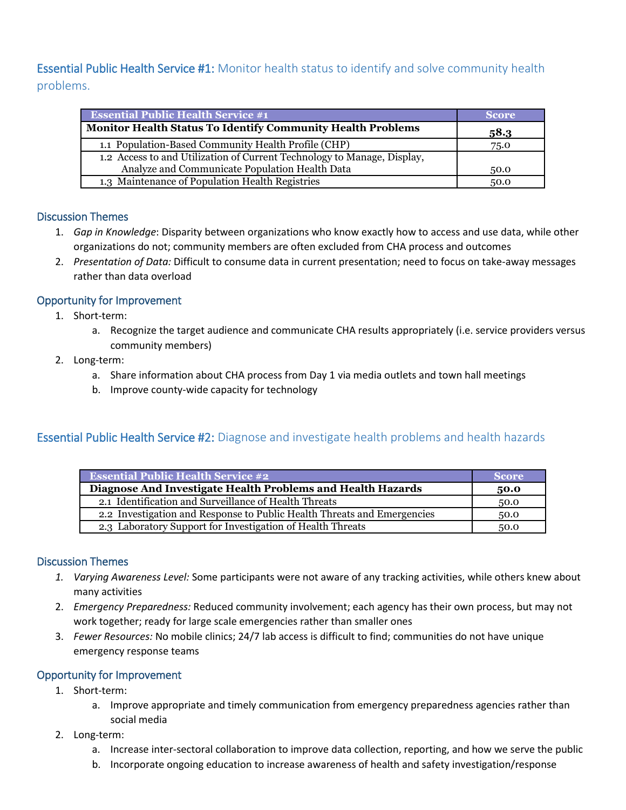# Essential Public Health Service #1: Monitor health status to identify and solve community health problems.

| <b>Essential Public Health Service #1</b>                               | <b>Score</b> |
|-------------------------------------------------------------------------|--------------|
| <b>Monitor Health Status To Identify Community Health Problems</b>      | 58.3         |
| 1.1 Population-Based Community Health Profile (CHP)                     | 75.0         |
| 1.2 Access to and Utilization of Current Technology to Manage, Display, |              |
| Analyze and Communicate Population Health Data                          | 50.0         |
| 1.3 Maintenance of Population Health Registries                         | 50.0         |

# Discussion Themes

- 1. *Gap in Knowledge*: Disparity between organizations who know exactly how to access and use data, while other organizations do not; community members are often excluded from CHA process and outcomes
- 2. *Presentation of Data:* Difficult to consume data in current presentation; need to focus on take-away messages rather than data overload

# Opportunity for Improvement

- 1. Short-term:
	- a. Recognize the target audience and communicate CHA results appropriately (i.e. service providers versus community members)
- 2. Long-term:
	- a. Share information about CHA process from Day 1 via media outlets and town hall meetings
	- b. Improve county-wide capacity for technology

# **Essential Public Health Service #2:** Diagnose and investigate health problems and health hazards

| <b>Essential Public Health Service #2</b>                               | <b>Score</b> |
|-------------------------------------------------------------------------|--------------|
| Diagnose And Investigate Health Problems and Health Hazards             | 50.0         |
| 2.1 Identification and Surveillance of Health Threats                   | 50.0         |
| 2.2 Investigation and Response to Public Health Threats and Emergencies | 50.0         |
| 2.3 Laboratory Support for Investigation of Health Threats              | 50.0         |

# Discussion Themes

- *1. Varying Awareness Level:* Some participants were not aware of any tracking activities, while others knew about many activities
- 2. *Emergency Preparedness:* Reduced community involvement; each agency has their own process, but may not work together; ready for large scale emergencies rather than smaller ones
- 3. *Fewer Resources:* No mobile clinics; 24/7 lab access is difficult to find; communities do not have unique emergency response teams

# Opportunity for Improvement

- 1. Short-term:
	- a. Improve appropriate and timely communication from emergency preparedness agencies rather than social media
- 2. Long-term:
	- a. Increase inter-sectoral collaboration to improve data collection, reporting, and how we serve the public
	- b. Incorporate ongoing education to increase awareness of health and safety investigation/response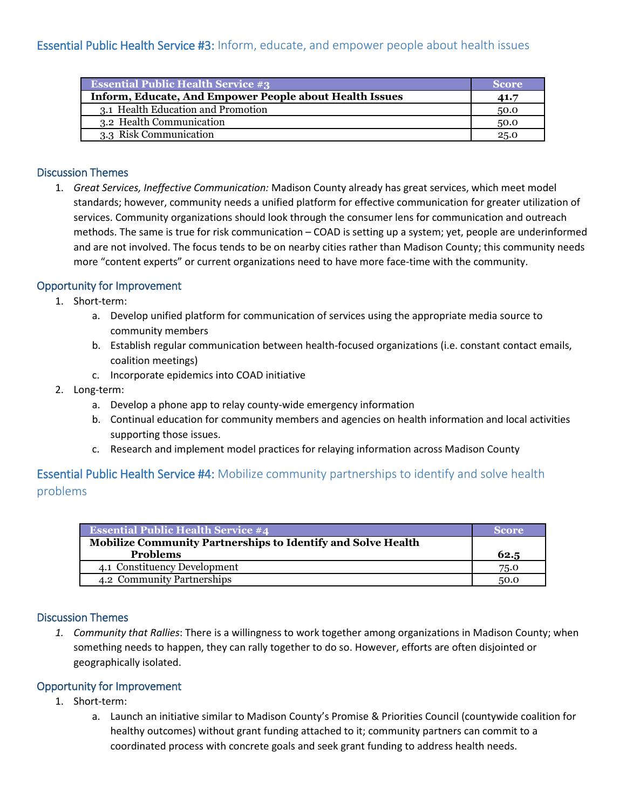| <b>Essential Public Health Service #3</b>               | <b>Score</b> |
|---------------------------------------------------------|--------------|
| Inform, Educate, And Empower People about Health Issues | 41.7         |
| 3.1 Health Education and Promotion                      | 50.0         |
| 3.2 Health Communication                                | 50.0         |
| 3.3 Risk Communication                                  | 25.0         |

#### Discussion Themes

1. *Great Services, Ineffective Communication:* Madison County already has great services, which meet model standards; however, community needs a unified platform for effective communication for greater utilization of services. Community organizations should look through the consumer lens for communication and outreach methods. The same is true for risk communication – COAD is setting up a system; yet, people are underinformed and are not involved. The focus tends to be on nearby cities rather than Madison County; this community needs more "content experts" or current organizations need to have more face-time with the community.

#### Opportunity for Improvement

- 1. Short-term:
	- a. Develop unified platform for communication of services using the appropriate media source to community members
	- b. Establish regular communication between health-focused organizations (i.e. constant contact emails, coalition meetings)
	- c. Incorporate epidemics into COAD initiative
- 2. Long-term:
	- a. Develop a phone app to relay county-wide emergency information
	- b. Continual education for community members and agencies on health information and local activities supporting those issues.
	- c. Research and implement model practices for relaying information across Madison County

# **Essential Public Health Service #4:** Mobilize community partnerships to identify and solve health problems

| <b>Essential Public Health Service #4</b>                           | <b>Score</b> |
|---------------------------------------------------------------------|--------------|
| <b>Mobilize Community Partnerships to Identify and Solve Health</b> |              |
| <b>Problems</b>                                                     | 62.5         |
| 4.1 Constituency Development                                        | 75.0         |
| 4.2 Community Partnerships                                          | 50.0         |

#### Discussion Themes

*1. Community that Rallies*: There is a willingness to work together among organizations in Madison County; when something needs to happen, they can rally together to do so. However, efforts are often disjointed or geographically isolated.

#### Opportunity for Improvement

- 1. Short-term:
	- a. Launch an initiative similar to Madison County's Promise & Priorities Council (countywide coalition for healthy outcomes) without grant funding attached to it; community partners can commit to a coordinated process with concrete goals and seek grant funding to address health needs.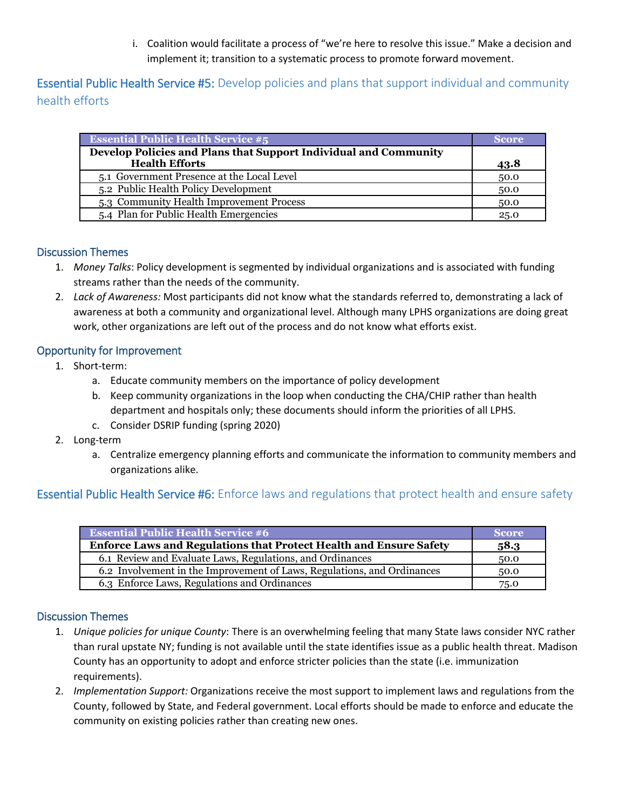i. Coalition would facilitate a process of "we're here to resolve this issue." Make a decision and implement it; transition to a systematic process to promote forward movement.

**Essential Public Health Service #5:** Develop policies and plans that support individual and community health efforts

| <b>Essential Public Health Service #5</b>                        | Score |
|------------------------------------------------------------------|-------|
| Develop Policies and Plans that Support Individual and Community |       |
| <b>Health Efforts</b>                                            | 43.8  |
| 5.1 Government Presence at the Local Level                       | 50.0  |
| 5.2 Public Health Policy Development                             | 50.0  |
| 5.3 Community Health Improvement Process                         | 50.0  |
| 5.4 Plan for Public Health Emergencies                           | 25.0  |

#### Discussion Themes

- 1. *Money Talks*: Policy development is segmented by individual organizations and is associated with funding streams rather than the needs of the community.
- 2. *Lack of Awareness:* Most participants did not know what the standards referred to, demonstrating a lack of awareness at both a community and organizational level. Although many LPHS organizations are doing great work, other organizations are left out of the process and do not know what efforts exist.

## Opportunity for Improvement

- 1. Short-term:
	- a. Educate community members on the importance of policy development
	- b. Keep community organizations in the loop when conducting the CHA/CHIP rather than health department and hospitals only; these documents should inform the priorities of all LPHS.
	- c. Consider DSRIP funding (spring 2020)
- 2. Long-term
	- a. Centralize emergency planning efforts and communicate the information to community members and organizations alike.

# **Essential Public Health Service #6:** Enforce laws and regulations that protect health and ensure safety

| <b>Essential Public Health Service #6</b>                                 | <b>Score</b> |
|---------------------------------------------------------------------------|--------------|
| <b>Enforce Laws and Regulations that Protect Health and Ensure Safety</b> | 58.3         |
| 6.1 Review and Evaluate Laws, Regulations, and Ordinances                 | 50.0         |
| 6.2 Involvement in the Improvement of Laws, Regulations, and Ordinances   | 50.0         |
| 6.3 Enforce Laws, Regulations and Ordinances                              | 75.0         |

# Discussion Themes

- 1. *Unique policies for unique County*: There is an overwhelming feeling that many State laws consider NYC rather than rural upstate NY; funding is not available until the state identifies issue as a public health threat. Madison County has an opportunity to adopt and enforce stricter policies than the state (i.e. immunization requirements).
- 2. *Implementation Support:* Organizations receive the most support to implement laws and regulations from the County, followed by State, and Federal government. Local efforts should be made to enforce and educate the community on existing policies rather than creating new ones.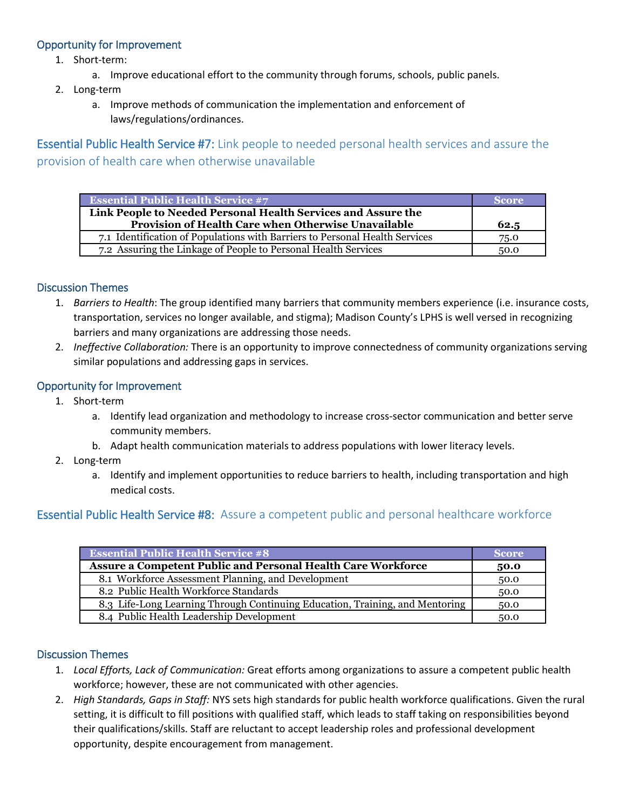## Opportunity for Improvement

- 1. Short-term:
	- a. Improve educational effort to the community through forums, schools, public panels.
- 2. Long-term
	- a. Improve methods of communication the implementation and enforcement of laws/regulations/ordinances.

**Essential Public Health Service #7:** Link people to needed personal health services and assure the provision of health care when otherwise unavailable

| <b>Essential Public Health Service #7</b>                                                                            | Score |
|----------------------------------------------------------------------------------------------------------------------|-------|
| Link People to Needed Personal Health Services and Assure the<br>Provision of Health Care when Otherwise Unavailable | 62.5  |
| 7.1 Identification of Populations with Barriers to Personal Health Services                                          | 75.0  |
| 7.2 Assuring the Linkage of People to Personal Health Services                                                       | 50.0  |

#### Discussion Themes

- 1. *Barriers to Health*: The group identified many barriers that community members experience (i.e. insurance costs, transportation, services no longer available, and stigma); Madison County's LPHS is well versed in recognizing barriers and many organizations are addressing those needs.
- 2. *Ineffective Collaboration:* There is an opportunity to improve connectedness of community organizations serving similar populations and addressing gaps in services.

#### Opportunity for Improvement

- 1. Short-term
	- a. Identify lead organization and methodology to increase cross-sector communication and better serve community members.
	- b. Adapt health communication materials to address populations with lower literacy levels.
- 2. Long-term
	- a. Identify and implement opportunities to reduce barriers to health, including transportation and high medical costs.

# Essential Public Health Service #8: Assure a competent public and personal healthcare workforce

| <b>Essential Public Health Service #8</b>                                    | <b>Score</b> |
|------------------------------------------------------------------------------|--------------|
| <b>Assure a Competent Public and Personal Health Care Workforce</b>          | 50.0         |
| 8.1 Workforce Assessment Planning, and Development                           | 50.0         |
| 8.2 Public Health Workforce Standards                                        | 50.0         |
| 8.3 Life-Long Learning Through Continuing Education, Training, and Mentoring | 50.0         |
| 8.4 Public Health Leadership Development                                     | 50.0         |

#### Discussion Themes

- 1. *Local Efforts, Lack of Communication:* Great efforts among organizations to assure a competent public health workforce; however, these are not communicated with other agencies.
- 2. *High Standards, Gaps in Staff:* NYS sets high standards for public health workforce qualifications. Given the rural setting, it is difficult to fill positions with qualified staff, which leads to staff taking on responsibilities beyond their qualifications/skills. Staff are reluctant to accept leadership roles and professional development opportunity, despite encouragement from management.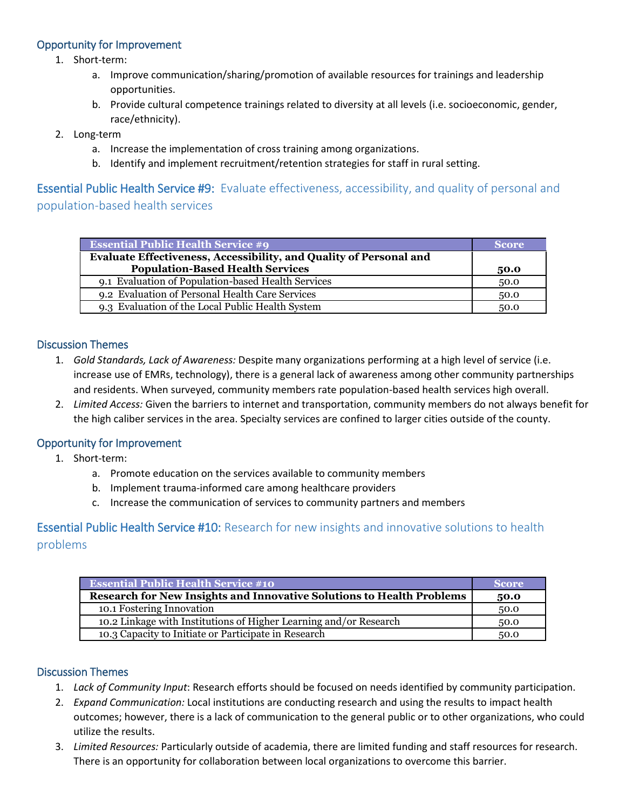## Opportunity for Improvement

- 1. Short-term:
	- a. Improve communication/sharing/promotion of available resources for trainings and leadership opportunities.
	- b. Provide cultural competence trainings related to diversity at all levels (i.e. socioeconomic, gender, race/ethnicity).
- 2. Long-term
	- a. Increase the implementation of cross training among organizations.
	- b. Identify and implement recruitment/retention strategies for staff in rural setting.

# **Essential Public Health Service #9:** Evaluate effectiveness, accessibility, and quality of personal and population-based health services

| <b>Essential Public Health Service #9</b>                          | <b>Score</b> |
|--------------------------------------------------------------------|--------------|
| Evaluate Effectiveness, Accessibility, and Quality of Personal and |              |
| <b>Population-Based Health Services</b>                            | 50.0         |
| 9.1 Evaluation of Population-based Health Services                 | 50.0         |
| 9.2 Evaluation of Personal Health Care Services                    | 50.0         |
| 9.3 Evaluation of the Local Public Health System                   | 50.0         |

# Discussion Themes

- 1. *Gold Standards, Lack of Awareness:* Despite many organizations performing at a high level of service (i.e. increase use of EMRs, technology), there is a general lack of awareness among other community partnerships and residents. When surveyed, community members rate population-based health services high overall.
- 2. *Limited Access:* Given the barriers to internet and transportation, community members do not always benefit for the high caliber services in the area. Specialty services are confined to larger cities outside of the county.

#### Opportunity for Improvement

- 1. Short-term:
	- a. Promote education on the services available to community members
	- b. Implement trauma-informed care among healthcare providers
	- c. Increase the communication of services to community partners and members

# **Essential Public Health Service #10:** Research for new insights and innovative solutions to health problems

| <b>Essential Public Health Service #10</b>                                   | <i>Score</i> |
|------------------------------------------------------------------------------|--------------|
| <b>Research for New Insights and Innovative Solutions to Health Problems</b> | 50.0         |
| 10.1 Fostering Innovation                                                    | 50.0         |
| 10.2 Linkage with Institutions of Higher Learning and/or Research            | 50.0         |
| 10.3 Capacity to Initiate or Participate in Research                         | 50.0         |

#### Discussion Themes

- 1. *Lack of Community Input*: Research efforts should be focused on needs identified by community participation.
- 2. *Expand Communication:* Local institutions are conducting research and using the results to impact health outcomes; however, there is a lack of communication to the general public or to other organizations, who could utilize the results.
- 3. *Limited Resources:* Particularly outside of academia, there are limited funding and staff resources for research. There is an opportunity for collaboration between local organizations to overcome this barrier.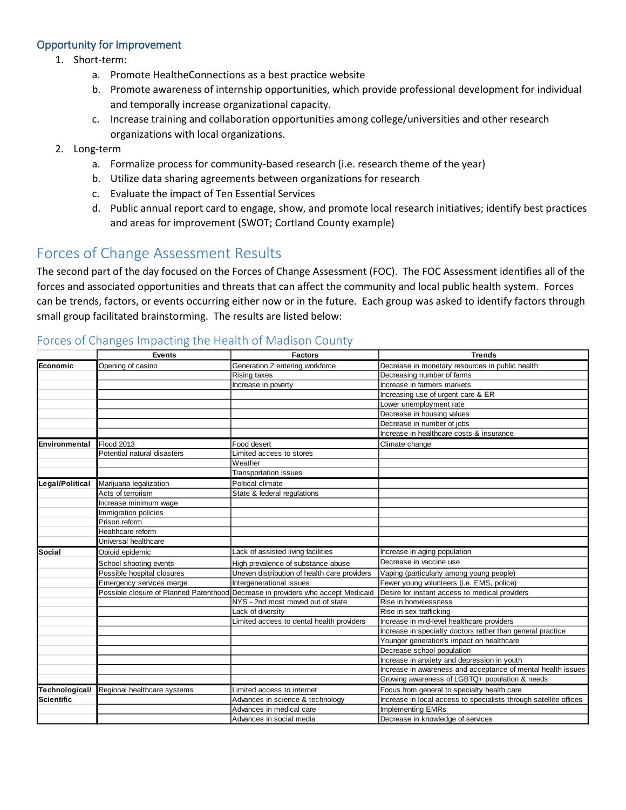#### Opportunity for Improvement

- 1. Short-term:
	- a. Promote HealtheConnections as a best practice website
	- b. Promote awareness of internship opportunities, which provide professional development for individual and temporally increase organizational capacity.
	- c. Increase training and collaboration opportunities among college/universities and other research organizations with local organizations.
- 2. Long-term
	- a. Formalize process for community-based research (i.e. research theme of the year)
	- b. Utilize data sharing agreements between organizations for research
	- c. Evaluate the impact of Ten Essential Services
	- d. Public annual report card to engage, show, and promote local research initiatives; identify best practices and areas for improvement (SWOT; Cortland County example)

# Forces of Change Assessment Results

The second part of the day focused on the Forces of Change Assessment (FOC). The FOC Assessment identifies all of the forces and associated opportunities and threats that can affect the community and local public health system. Forces can be trends, factors, or events occurring either now or in the future. Each group was asked to identify factors through small group facilitated brainstorming. The results are listed below:

|                   | <b>Events</b>                              | <b>Factors</b>                                                                   | <b>Trends</b>                                                     |
|-------------------|--------------------------------------------|----------------------------------------------------------------------------------|-------------------------------------------------------------------|
| Economic          | Opening of casino                          | Generation Z entering workforce                                                  | Decrease in monetary resources in public health                   |
|                   |                                            | <b>Rising taxes</b>                                                              | Decreasing number of farms                                        |
|                   |                                            | Increase in poverty                                                              | Increase in farmers markets                                       |
|                   |                                            |                                                                                  | Increasing use of urgent care & ER                                |
|                   |                                            |                                                                                  | Lower unemployment rate                                           |
|                   |                                            |                                                                                  | Decrease in housing values                                        |
|                   |                                            |                                                                                  | Decrease in number of jobs                                        |
|                   |                                            |                                                                                  | Increase in healthcare costs & insurance                          |
| Environmental     | Flood 2013                                 | Food desert                                                                      | Climate change                                                    |
|                   | Potential natural disasters                | Limited access to stores                                                         |                                                                   |
|                   |                                            | Weather                                                                          |                                                                   |
|                   |                                            | <b>Transportation Issues</b>                                                     |                                                                   |
| Legal/Political   | Marijuana legalization                     | Poltical climate                                                                 |                                                                   |
|                   | Acts of terrorism                          | State & federal regulations                                                      |                                                                   |
|                   | Increase minimum wage                      |                                                                                  |                                                                   |
|                   | Immigration policies                       |                                                                                  |                                                                   |
|                   | Prison reform                              |                                                                                  |                                                                   |
|                   | Healthcare reform                          |                                                                                  |                                                                   |
|                   | Universal healthcare                       |                                                                                  |                                                                   |
| <b>Social</b>     | Opioid epidemic                            | Lack of assisted living facilities                                               | Increase in aging population                                      |
|                   | School shooting events                     | High prevalence of substance abuse                                               | Decrease in vaccine use                                           |
|                   | Possible hospital closures                 | Uneven distribution of health care providers                                     | Vaping (particularly among young people)                          |
|                   | Emergency services merge                   | Intergenerational issues                                                         | Fewer young volunteers (i.e. EMS, police)                         |
|                   |                                            | Possible closure of Planned Parenthood Decrease in providers who accept Medicaid | Desire for instant access to medical providers                    |
|                   |                                            | NYS - 2nd most moved out of state                                                | Rise in homelessness                                              |
|                   |                                            | Lack of diversity                                                                | Rise in sex trafficking                                           |
|                   |                                            | Limited access to dental health providers                                        | Increase in mid-level healthcare providers                        |
|                   |                                            |                                                                                  | Increase in specialty doctors rather than general practice        |
|                   |                                            |                                                                                  | Younger generation's impact on healthcare                         |
|                   |                                            |                                                                                  | Decrease school population                                        |
|                   |                                            |                                                                                  | Increase in anxiety and depression in youth                       |
|                   |                                            |                                                                                  | Increase in awareness and acceptance of mental health issues      |
|                   |                                            |                                                                                  | Growing awareness of LGBTQ+ population & needs                    |
|                   | Technological/ Regional healthcare systems | Limited access to internet                                                       | Focus from general to specialty health care                       |
| <b>Scientific</b> |                                            | Advances in science & technology                                                 | Increase in local access to specialists through satellite offices |
|                   |                                            | Advances in medical care                                                         | <b>Implementing EMRs</b>                                          |
|                   |                                            | Advances in social media                                                         | Decrease in knowledge of services                                 |

# Forces of Changes Impacting the Health of Madison County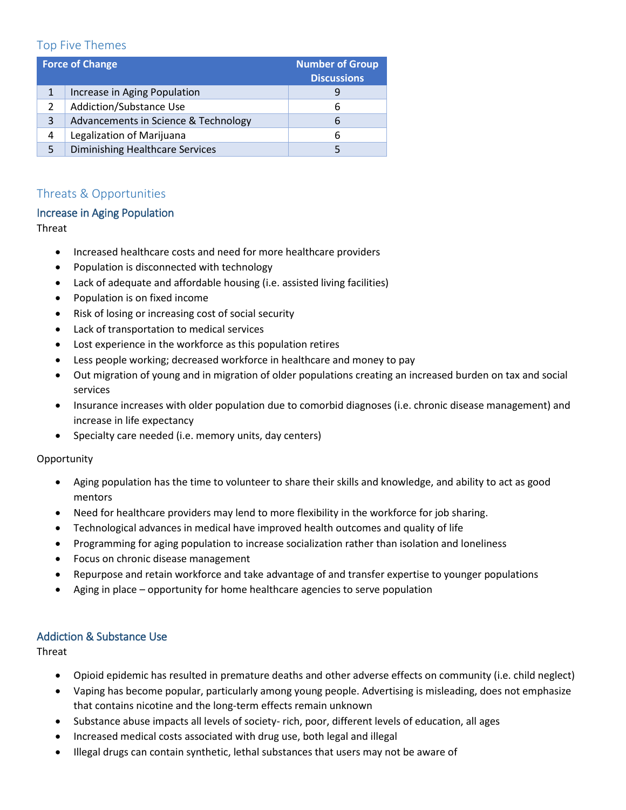# Top Five Themes

| <b>Force of Change</b> |                                        | <b>Number of Group</b><br><b>Discussions</b> |
|------------------------|----------------------------------------|----------------------------------------------|
| $\mathbf{1}$           | Increase in Aging Population           |                                              |
| 2                      | Addiction/Substance Use                | 6                                            |
| 3                      | Advancements in Science & Technology   | 6                                            |
| 4                      | Legalization of Marijuana              | 6                                            |
| 5                      | <b>Diminishing Healthcare Services</b> |                                              |

# Threats & Opportunities

#### Increase in Aging Population

Threat

- Increased healthcare costs and need for more healthcare providers
- Population is disconnected with technology
- Lack of adequate and affordable housing (i.e. assisted living facilities)
- Population is on fixed income
- Risk of losing or increasing cost of social security
- Lack of transportation to medical services
- Lost experience in the workforce as this population retires
- Less people working; decreased workforce in healthcare and money to pay
- Out migration of young and in migration of older populations creating an increased burden on tax and social services
- Insurance increases with older population due to comorbid diagnoses (i.e. chronic disease management) and increase in life expectancy
- Specialty care needed (i.e. memory units, day centers)

**Opportunity** 

- Aging population has the time to volunteer to share their skills and knowledge, and ability to act as good mentors
- Need for healthcare providers may lend to more flexibility in the workforce for job sharing.
- Technological advances in medical have improved health outcomes and quality of life
- Programming for aging population to increase socialization rather than isolation and loneliness
- Focus on chronic disease management
- Repurpose and retain workforce and take advantage of and transfer expertise to younger populations
- Aging in place opportunity for home healthcare agencies to serve population

# Addiction & Substance Use

**Threat** 

- Opioid epidemic has resulted in premature deaths and other adverse effects on community (i.e. child neglect)
- Vaping has become popular, particularly among young people. Advertising is misleading, does not emphasize that contains nicotine and the long-term effects remain unknown
- Substance abuse impacts all levels of society- rich, poor, different levels of education, all ages
- Increased medical costs associated with drug use, both legal and illegal
- Illegal drugs can contain synthetic, lethal substances that users may not be aware of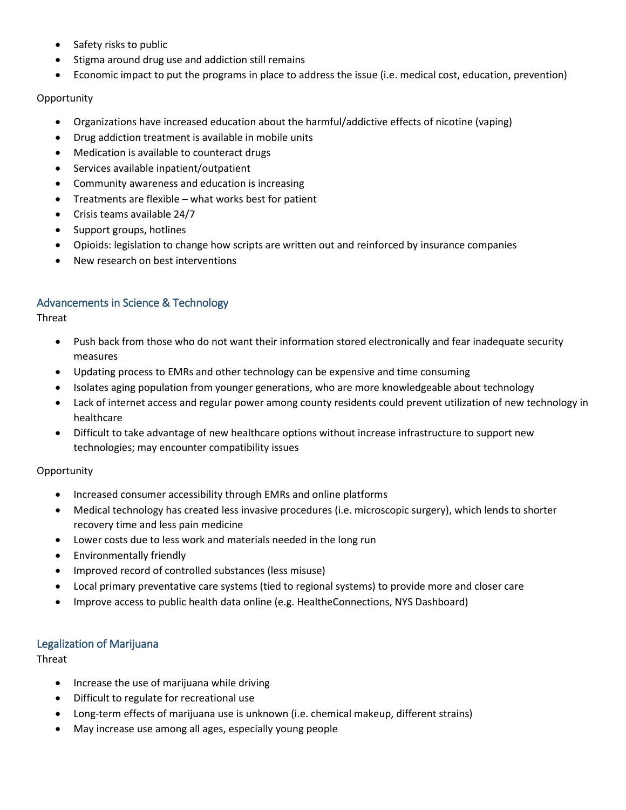- Safety risks to public
- Stigma around drug use and addiction still remains
- Economic impact to put the programs in place to address the issue (i.e. medical cost, education, prevention)

#### **Opportunity**

- Organizations have increased education about the harmful/addictive effects of nicotine (vaping)
- Drug addiction treatment is available in mobile units
- Medication is available to counteract drugs
- Services available inpatient/outpatient
- Community awareness and education is increasing
- Treatments are flexible what works best for patient
- Crisis teams available 24/7
- Support groups, hotlines
- Opioids: legislation to change how scripts are written out and reinforced by insurance companies
- New research on best interventions

## Advancements in Science & Technology

Threat

- Push back from those who do not want their information stored electronically and fear inadequate security measures
- Updating process to EMRs and other technology can be expensive and time consuming
- Isolates aging population from younger generations, who are more knowledgeable about technology
- Lack of internet access and regular power among county residents could prevent utilization of new technology in healthcare
- Difficult to take advantage of new healthcare options without increase infrastructure to support new technologies; may encounter compatibility issues

**Opportunity** 

- Increased consumer accessibility through EMRs and online platforms
- Medical technology has created less invasive procedures (i.e. microscopic surgery), which lends to shorter recovery time and less pain medicine
- Lower costs due to less work and materials needed in the long run
- Environmentally friendly
- Improved record of controlled substances (less misuse)
- Local primary preventative care systems (tied to regional systems) to provide more and closer care
- Improve access to public health data online (e.g. HealtheConnections, NYS Dashboard)

#### Legalization of Marijuana

Threat

- Increase the use of marijuana while driving
- Difficult to regulate for recreational use
- Long-term effects of marijuana use is unknown (i.e. chemical makeup, different strains)
- May increase use among all ages, especially young people